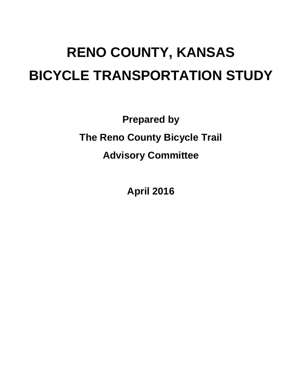# **RENO COUNTY, KANSAS BICYCLE TRANSPORTATION STUDY**

**Prepared by The Reno County Bicycle Trail Advisory Committee**

**April 2016**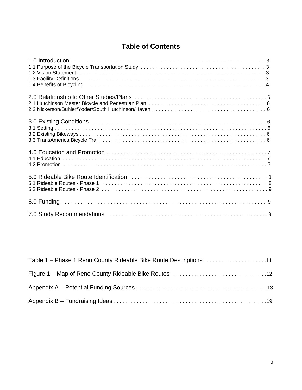# **Table of Contents**

| Table 1 – Phase 1 Reno County Rideable Bike Route Descriptions 11 |  |
|-------------------------------------------------------------------|--|
|                                                                   |  |
|                                                                   |  |
|                                                                   |  |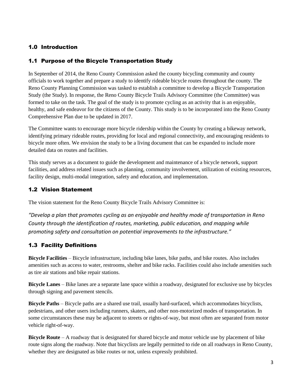## 1.0 Introduction

## 1.1 Purpose of the Bicycle Transportation Study

In September of 2014, the Reno County Commission asked the county bicycling community and county officials to work together and prepare a study to identify rideable bicycle routes throughout the county. The Reno County Planning Commission was tasked to establish a committee to develop a Bicycle Transportation Study (the Study). In response, the Reno County Bicycle Trails Advisory Committee (the Committee) was formed to take on the task. The goal of the study is to promote cycling as an activity that is an enjoyable, healthy, and safe endeavor for the citizens of the County. This study is to be incorporated into the Reno County Comprehensive Plan due to be updated in 2017.

The Committee wants to encourage more bicycle ridership within the County by creating a bikeway network, identifying primary rideable routes, providing for local and regional connectivity, and encouraging residents to bicycle more often. We envision the study to be a living document that can be expanded to include more detailed data on routes and facilities.

This study serves as a document to guide the development and maintenance of a bicycle network, support facilities, and address related issues such as planning, community involvement, utilization of existing resources, facility design, multi-modal integration, safety and education, and implementation.

## 1.2 Vision Statement

The vision statement for the Reno County Bicycle Trails Advisory Committee is:

*"Develop a plan that promotes cycling as an enjoyable and healthy mode of transportation in Reno County through the identification of routes, marketing, public education, and mapping while promoting safety and consultation on potential improvements to the infrastructure."*

# 1.3 Facility Definitions

**Bicycle Facilities** – Bicycle infrastructure, including bike lanes, bike paths, and bike routes. Also includes amenities such as access to water, restrooms, shelter and bike racks. Facilities could also include amenities such as tire air stations and bike repair stations.

**Bicycle Lanes** – Bike lanes are a separate lane space within a roadway, designated for exclusive use by bicycles through signing and pavement stencils.

**Bicycle Paths** – Bicycle paths are a shared use trail, usually hard-surfaced, which accommodates bicyclists, pedestrians, and other users including runners, skaters, and other non-motorized modes of transportation. In some circumstances these may be adjacent to streets or rights-of-way, but most often are separated from motor vehicle right-of-way.

**Bicycle Route** – A roadway that is designated for shared bicycle and motor vehicle use by placement of bike route signs along the roadway. Note that bicyclists are legally permitted to ride on all roadways in Reno County, whether they are designated as bike routes or not, unless expressly prohibited.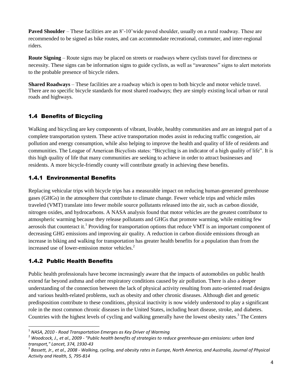**Paved Shoulder** – These facilities are an 8'-10'wide paved shoulder, usually on a rural roadway. These are recommended to be signed as bike routes, and can accommodate recreational, commuter, and inter-regional riders.

**Route Signing** – Route signs may be placed on streets or roadways where cyclists travel for directness or necessity. These signs can be information signs to guide cyclists, as well as "awareness" signs to alert motorists to the probable presence of bicycle riders.

**Shared Roadways** – These facilities are a roadway which is open to both bicycle and motor vehicle travel. There are no specific bicycle standards for most shared roadways; they are simply existing local urban or rural roads and highways.

## 1.4 Benefits of Bicycling

Walking and bicycling are key components of vibrant, livable, healthy communities and are an integral part of a complete transportation system. These active transportation modes assist in reducing traffic congestion, air pollution and energy consumption, while also helping to improve the health and quality of life of residents and communities. The League of American Bicyclists states: "Bicycling is an indicator of a high quality of life". It is this high quality of life that many communities are seeking to achieve in order to attract businesses and residents. A more bicycle-friendly county will contribute greatly in achieving these benefits.

## 1.4.1 Environmental Benefits

Replacing vehicular trips with bicycle trips has a measurable impact on reducing human-generated greenhouse gases (GHGs) in the atmosphere that contribute to climate change. Fewer vehicle trips and vehicle miles traveled (VMT) translate into fewer mobile source pollutants released into the air, such as carbon dioxide, nitrogen oxides, and hydrocarbons. A NASA analysis found that motor vehicles are the greatest contributor to atmospheric warming because they release pollutants and GHGs that promote warming, while emitting few aerosols that counteract it.<sup>1</sup> Providing for transportation options that reduce VMT is an important component of decreasing GHG emissions and improving air quality. A reduction in carbon dioxide emissions through an increase in biking and walking for transportation has greater health benefits for a population than from the increased use of lower-emission motor vehicles.<sup>2</sup>

# 1.4.2 Public Health Benefits

 $\ddot{\phantom{a}}$ 

Public health professionals have become increasingly aware that the impacts of automobiles on public health extend far beyond asthma and other respiratory conditions caused by air pollution. There is also a deeper understanding of the connection between the lack of physical activity resulting from auto-oriented road designs and various health-related problems, such as obesity and other chronic diseases. Although diet and genetic predisposition contribute to these conditions, physical inactivity is now widely understood to play a significant role in the most common chronic diseases in the United States, including heart disease, stroke, and diabetes. Countries with the highest levels of cycling and walking generally have the lowest obesity rates.<sup>3</sup> The Centers

<sup>1</sup> *NASA, 2010* - *Road Transportation Emerges as Key Driver of Warming*

<sup>2</sup> *Woodcock, J., et al., 2009* - *"Public health benefits of strategies to reduce greenhouse-gas emissions: urban land transport," Lancet, 374, 1930-43*

<sup>3</sup> *Bassett, Jr., et al., 2008* - *Walking, cycling, and obesity rates in Europe, North America, and Australia, Journal of Physical Activity and Health, 5, 795-814*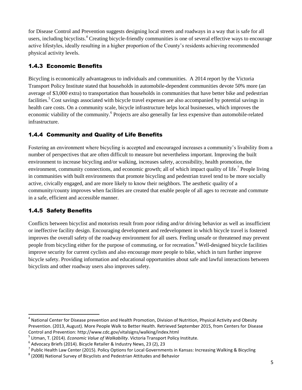for Disease Control and Prevention suggests designing local streets and roadways in a way that is safe for all users, including bicyclists.<sup>4</sup> Creating bicycle-friendly communities is one of several effective ways to encourage active lifestyles, ideally resulting in a higher proportion of the County's residents achieving recommended physical activity levels.

## 1.4.3 Economic Benefits

Bicycling is economically advantageous to individuals and communities. A 2014 report by the Victoria Transport Policy Institute stated that households in automobile-dependent communities devote 50% more (an average of \$3,000 extra) to transportation than households in communities that have better bike and pedestrian facilities.<sup>5</sup> Cost savings associated with bicycle travel expenses are also accompanied by potential savings in health care costs. On a community scale, bicycle infrastructure helps local businesses, which improves the economic viability of the community.<sup>6</sup> Projects are also generally far less expensive than automobile-related infrastructure.

# 1.4.4 Community and Quality of Life Benefits

Fostering an environment where bicycling is accepted and encouraged increases a community's livability from a number of perspectives that are often difficult to measure but nevertheless important. Improving the built environment to increase bicycling and/or walking, increases safety, accessibility, health promotion, the environment, community connections, and economic growth; all of which impact quality of life.<sup>7</sup> People living in communities with built environments that promote bicycling and pedestrian travel tend to be more socially active, civically engaged, and are more likely to know their neighbors. The aesthetic quality of a community/county improves when facilities are created that enable people of all ages to recreate and commute in a safe, efficient and accessible manner.

# 1.4.5 Safety Benefits

Conflicts between bicyclist and motorists result from poor riding and/or driving behavior as well as insufficient or ineffective facility design. Encouraging development and redevelopment in which bicycle travel is fostered improves the overall safety of the roadway environment for all users. Feeling unsafe or threatened may prevent people from bicycling either for the purpose of commuting, or for recreation.<sup>8</sup> Well-designed bicycle facilities improve security for current cyclists and also encourage more people to bike, which in turn further improve bicycle safety. Providing information and educational opportunities about safe and lawful interactions between bicyclists and other roadway users also improves safety.

 4 National Center for Disease prevention and Health Promotion, Division of Nutrition, Physical Activity and Obesity Prevention. (2013, August). More People Walk to Better Health. Retrieved September 2015, from Centers for Disease Control and Prevention: http://www.cdc.gov/vitalsigns/walking/index.html

<sup>5</sup> Litman, T. (2014). *Economic Value of Walkability*. Victoria Transport Policy Institute.

<sup>6</sup> Advocacy Briefs (2014). Bicycle Retailer & Industry News, 23 (2), 23

<sup>&</sup>lt;sup>7</sup> Public Health Law Center (2015). Policy Options for Local Governments in Kansas: Increasing Walking & Bicycling

 $^8$  (2008) National Survey of Bicyclists and Pedestrian Attitudes and Behavior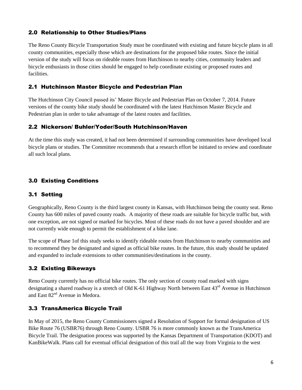## 2.0 Relationship to Other Studies/Plans

The Reno County Bicycle Transportation Study must be coordinated with existing and future bicycle plans in all county communities, especially those which are destinations for the proposed bike routes. Since the initial version of the study will focus on rideable routes from Hutchinson to nearby cities, community leaders and bicycle enthusiasts in those cities should be engaged to help coordinate existing or proposed routes and facilities.

## 2.1 Hutchinson Master Bicycle and Pedestrian Plan

The Hutchinson City Council passed its' Master Bicycle and Pedestrian Plan on October 7, 2014. Future versions of the county bike study should be coordinated with the latest Hutchinson Master Bicycle and Pedestrian plan in order to take advantage of the latest routes and facilities.

## 2.2 Nickerson/ Buhler/Yoder/South Hutchinson/Haven

At the time this study was created, it had not been determined if surrounding communities have developed local bicycle plans or studies. The Committee recommends that a research effort be initiated to review and coordinate all such local plans.

# 3.0 Existing Conditions

## 3.1 Setting

Geographically, Reno County is the third largest county in Kansas, with Hutchinson being the county seat. Reno County has 600 miles of paved county roads. A majority of these roads are suitable for bicycle traffic but, with one exception, are not signed or marked for bicycles. Most of these roads do not have a paved shoulder and are not currently wide enough to permit the establishment of a bike lane.

The scope of Phase 1of this study seeks to identify rideable routes from Hutchinson to nearby communities and to recommend they be designated and signed as official bike routes. In the future, this study should be updated and expanded to include extensions to other communities/destinations in the county.

## 3.2 Existing Bikeways

Reno County currently has no official bike routes. The only section of county road marked with signs designating a shared roadway is a stretch of Old K-61 Highway North between East 43<sup>rd</sup> Avenue in Hutchinson and East  $82<sup>nd</sup>$  Avenue in Medora.

# 3.3 TransAmerica Bicycle Trail

In May of 2015, the Reno County Commissioners signed a Resolution of Support for formal designation of US Bike Route 76 (USBR76) through Reno County. USBR 76 is more commonly known as the TransAmerica Bicycle Trail. The designation process was supported by the Kansas Department of Transportation (KDOT) and KanBikeWalk. Plans call for eventual official designation of this trail all the way from Virginia to the west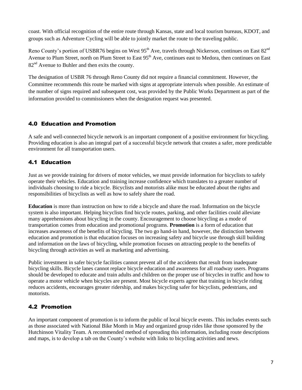coast. With official recognition of the entire route through Kansas, state and local tourism bureaus, KDOT, and groups such as Adventure Cycling will be able to jointly market the route to the traveling public.

Reno County's portion of USBR76 begins on West 95<sup>th</sup> Ave, travels through Nickerson, continues on East 82<sup>nd</sup> Avenue to Plum Street, north on Plum Street to East 95<sup>th</sup> Ave, continues east to Medora, then continues on East  $82<sup>nd</sup>$  Avenue to Buhler and then exits the county.

The designation of USBR 76 through Reno County did not require a financial commitment. However, the Committee recommends this route be marked with signs at appropriate intervals when possible. An estimate of the number of signs required and subsequent cost, was provided by the Public Works Department as part of the information provided to commissioners when the designation request was presented.

# 4.0 Education and Promotion

A safe and well-connected bicycle network is an important component of a positive environment for bicycling. Providing education is also an integral part of a successful bicycle network that creates a safer, more predictable environment for all transportation users.

# 4.1 Education

Just as we provide training for drivers of motor vehicles, we must provide information for bicyclists to safely operate their vehicles. Education and training increase confidence which translates to a greater number of individuals choosing to ride a bicycle. Bicyclists and motorists alike must be educated about the rights and responsibilities of bicyclists as well as how to safely share the road.

**Education** is more than instruction on how to ride a bicycle and share the road. Information on the bicycle system is also important. Helping bicyclists find bicycle routes, parking, and other facilities could alleviate many apprehensions about bicycling in the county. Encouragement to choose bicycling as a mode of transportation comes from education and promotional programs. **Promotion** is a form of education that increases awareness of the benefits of bicycling. The two go hand-in hand, however, the distinction between education and promotion is that education focuses on increasing safety and bicycle use through skill building and information on the laws of bicycling, while promotion focuses on attracting people to the benefits of bicycling through activities as well as marketing and advertising.

Public investment in safer bicycle facilities cannot prevent all of the accidents that result from inadequate bicycling skills. Bicycle lanes cannot replace bicycle education and awareness for all roadway users. Programs should be developed to educate and train adults and children on the proper use of bicycles in traffic and how to operate a motor vehicle when bicycles are present. Most bicycle experts agree that training in bicycle riding reduces accidents, encourages greater ridership, and makes bicycling safer for bicyclists, pedestrians, and motorists.

# 4.2 Promotion

An important component of promotion is to inform the public of local bicycle events. This includes events such as those associated with National Bike Month in May and organized group rides like those sponsored by the Hutchinson Vitality Team. A recommended method of spreading this information, including route descriptions and maps, is to develop a tab on the County's website with links to bicycling activities and news.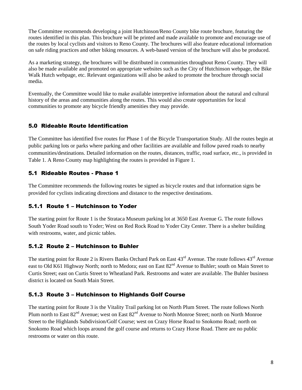The Committee recommends developing a joint Hutchinson/Reno County bike route brochure, featuring the routes identified in this plan. This brochure will be printed and made available to promote and encourage use of the routes by local cyclists and visitors to Reno County. The brochures will also feature educational information on safe riding practices and other biking resources. A web-based version of the brochure will also be produced.

As a marketing strategy, the brochures will be distributed in communities throughout Reno County. They will also be made available and promoted on appropriate websites such as the City of Hutchinson webpage, the Bike Walk Hutch webpage, etc. Relevant organizations will also be asked to promote the brochure through social media.

Eventually, the Committee would like to make available interpretive information about the natural and cultural history of the areas and communities along the routes. This would also create opportunities for local communities to promote any bicycle friendly amenities they may provide.

## 5.0 Rideable Route Identification

The Committee has identified five routes for Phase 1 of the Bicycle Transportation Study. All the routes begin at public parking lots or parks where parking and other facilities are available and follow paved roads to nearby communities/destinations. Detailed information on the routes, distances, traffic, road surface, etc., is provided in Table 1. A Reno County map highlighting the routes is provided in Figure 1.

## 5.1 Rideable Routes - Phase 1

The Committee recommends the following routes be signed as bicycle routes and that information signs be provided for cyclists indicating directions and distance to the respective destinations.

# 5.1.1 Route 1 – Hutchinson to Yoder

The starting point for Route 1 is the Strataca Museum parking lot at 3650 East Avenue G. The route follows South Yoder Road south to Yoder; West on Red Rock Road to Yoder City Center. There is a shelter building with restrooms, water, and picnic tables.

# 5.1.2 Route 2 – Hutchinson to Buhler

The starting point for Route 2 is Rivers Banks Orchard Park on East 43<sup>rd</sup> Avenue. The route follows 43<sup>rd</sup> Avenue east to Old K61 Highway North; north to Medora; east on East 82<sup>nd</sup> Avenue to Buhler; south on Main Street to Curtis Street; east on Curtis Street to Wheatland Park. Restrooms and water are available. The Buhler business district is located on South Main Street.

# 5.1.3 Route 3 – Hutchinson to Highlands Golf Course

The starting point for Route 3 is the Vitality Trail parking lot on North Plum Street. The route follows North Plum north to East  $82^{nd}$  Avenue; west on East  $82^{nd}$  Avenue to North Monroe Street; north on North Monroe Street to the Highlands Subdivision/Golf Course; west on Crazy Horse Road to Snokomo Road; north on Snokomo Road which loops around the golf course and returns to Crazy Horse Road. There are no public restrooms or water on this route.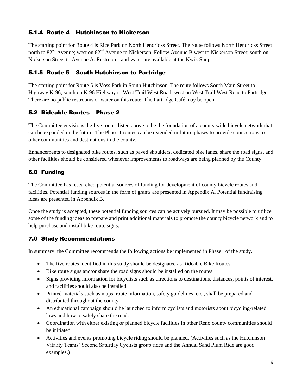## 5.1.4 Route 4 – Hutchinson to Nickerson

The starting point for Route 4 is Rice Park on North Hendricks Street. The route follows North Hendricks Street north to 82<sup>nd</sup> Avenue; west on 82<sup>nd</sup> Avenue to Nickerson. Follow Avenue B west to Nickerson Street; south on Nickerson Street to Avenue A. Restrooms and water are available at the Kwik Shop.

## 5.1.5 Route 5 – South Hutchinson to Partridge

The starting point for Route 5 is Voss Park in South Hutchinson. The route follows South Main Street to Highway K-96; south on K-96 Highway to West Trail West Road; west on West Trail West Road to Partridge. There are no public restrooms or water on this route. The Partridge Café may be open.

## 5.2 Rideable Routes – Phase 2

The Committee envisions the five routes listed above to be the foundation of a county wide bicycle network that can be expanded in the future. The Phase 1 routes can be extended in future phases to provide connections to other communities and destinations in the county.

Enhancements to designated bike routes, such as paved shoulders, dedicated bike lanes, share the road signs, and other facilities should be considered whenever improvements to roadways are being planned by the County.

## 6.0 Funding

The Committee has researched potential sources of funding for development of county bicycle routes and facilities. Potential funding sources in the form of grants are presented in Appendix A. Potential fundraising ideas are presented in Appendix B.

Once the study is accepted, these potential funding sources can be actively pursued. It may be possible to utilize some of the funding ideas to prepare and print additional materials to promote the county bicycle network and to help purchase and install bike route signs.

# 7.0 Study Recommendations

In summary, the Committee recommends the following actions be implemented in Phase 1of the study.

- The five routes identified in this study should be designated as Rideable Bike Routes.
- Bike route signs and/or share the road signs should be installed on the routes.
- Signs providing information for bicyclists such as directions to destinations, distances, points of interest, and facilities should also be installed.
- Printed materials such as maps, route information, safety guidelines, etc., shall be prepared and distributed throughout the county.
- An educational campaign should be launched to inform cyclists and motorists about bicycling-related laws and how to safely share the road.
- Coordination with either existing or planned bicycle facilities in other Reno county communities should be initiated.
- Activities and events promoting bicycle riding should be planned. (Activities such as the Hutchinson Vitality Teams' Second Saturday Cyclists group rides and the Annual Sand Plum Ride are good examples.)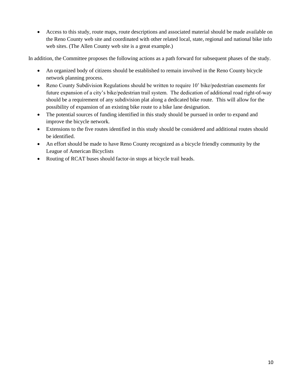Access to this study, route maps, route descriptions and associated material should be made available on the Reno County web site and coordinated with other related local, state, regional and national bike info web sites. (The Allen County web site is a great example.)

In addition, the Committee proposes the following actions as a path forward for subsequent phases of the study.

- An organized body of citizens should be established to remain involved in the Reno County bicycle network planning process.
- Reno County Subdivision Regulations should be written to require 10' bike/pedestrian easements for future expansion of a city's bike/pedestrian trail system. The dedication of additional road right-of-way should be a requirement of any subdivision plat along a dedicated bike route. This will allow for the possibility of expansion of an existing bike route to a bike lane designation.
- The potential sources of funding identified in this study should be pursued in order to expand and improve the bicycle network.
- Extensions to the five routes identified in this study should be considered and additional routes should be identified.
- An effort should be made to have Reno County recognized as a bicycle friendly community by the League of American Bicyclists
- Routing of RCAT buses should factor-in stops at bicycle trail heads.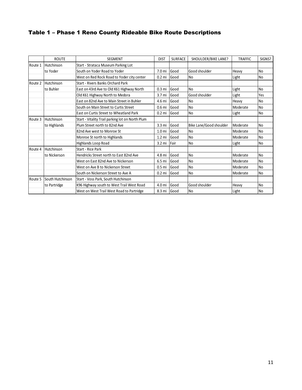# Table 1 – Phase 1 Reno County Rideable Bike Route Descriptions

|         | <b>ROUTE</b>     | <b>SEGMENT</b>                                   | <b>DIST</b>       | <b>SURFACE</b> | SHOULDER/BIKE LANE?     | <b>TRAFFIC</b> | SIGNS?         |
|---------|------------------|--------------------------------------------------|-------------------|----------------|-------------------------|----------------|----------------|
| Route 1 | Hutchinson       | Start - Strataca Museum Parking Lot              |                   |                |                         |                |                |
|         | to Yoder         | South on Yoder Road to Yoder                     | 7.0 <sub>mi</sub> | Good           | Good shoulder           | Heavy          | N <sub>0</sub> |
|         |                  | West on Red Rock Road to Yoder city center       | $0.2$ mi          | Good           | <b>No</b>               | Light          | N <sub>0</sub> |
| Route 2 | Hutchinson       | Start - Rivers Banks Orchard Park                |                   |                |                         |                |                |
|         | to Buhler        | East on 43rd Ave to Old K61 Highway North        | 0.3 <sub>mi</sub> | Good           | <b>No</b>               | Light          | N <sub>0</sub> |
|         |                  | Old K61 Highway North to Medora                  | 3.7 <sub>mi</sub> | Good           | Good shoulder           | Light          | Yes            |
|         |                  | East on 82nd Ave to Main Street in Buhler        | 4.6 mi            | Good           | <b>No</b>               | Heavy          | N <sub>0</sub> |
|         |                  | South on Main Street to Curtis Street            | 0.6 <sub>mi</sub> | Good           | <b>No</b>               | Moderate       | N <sub>0</sub> |
|         |                  | East on Curtis Street to Wheatland Park          | $0.2$ mi          | Good           | <b>No</b>               | Light          | N <sub>0</sub> |
| Route 3 | Hutchinson       | Start - Vitality Trail parking lot on North Plum |                   |                |                         |                |                |
|         | to Highlands     | Plum Street north to 82nd Ave                    | 3.3 <sub>mi</sub> | Good           | Bike Lane/Good shoulder | Moderate       | N <sub>o</sub> |
|         |                  | 82nd Ave west to Monroe St                       | 1.0 <sub>m</sub>  | Good           | <b>No</b>               | Moderate       | N <sub>0</sub> |
|         |                  | Monroe St north to Highlands                     | $1.2 \text{ mi}$  | Good           | <b>No</b>               | Moderate       | N <sub>0</sub> |
|         |                  | <b>Highlands Loop Road</b>                       | $3.2 \text{ mi}$  | Fair           | N <sub>0</sub>          | Light          | N <sub>0</sub> |
| Route 4 | Hutchinson       | Start - Rice Park                                |                   |                |                         |                |                |
|         | to Nickerson     | Hendricks Street north to East 82nd Ave          | 4.8 mi            | Good           | <b>No</b>               | Moderate       | N <sub>0</sub> |
|         |                  | West on East 82nd Ave to Nickerson               | 6.5 mi            | Good           | <b>No</b>               | Moderate       | N <sub>0</sub> |
|         |                  | West on Ave B to Nickerson Street                | 0.5 <sub>mi</sub> | Good           | <b>No</b>               | Moderate       | No             |
|         |                  | South on Nickerson Street to Ave A               | $0.2$ mi          | Good           | <b>No</b>               | Moderate       | N <sub>0</sub> |
| Route 5 | South Hutchinson | Start - Voss Park, South Hutchinson              |                   |                |                         |                |                |
|         | to Partridge     | K96 Highway south to West Trail West Road        | 4.0 mi            | Good           | Good shoulder           | Heavy          | N <sub>o</sub> |
|         |                  | West on West Trail West Road to Partridge        | 8.3 mi            | Good           | <b>No</b>               | Light          | N <sub>0</sub> |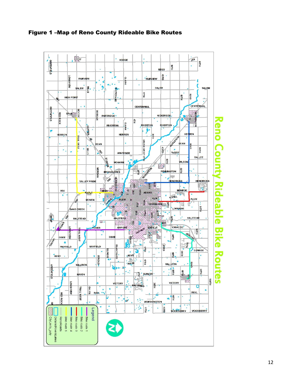

Figure 1 –Map of Reno County Rideable Bike Routes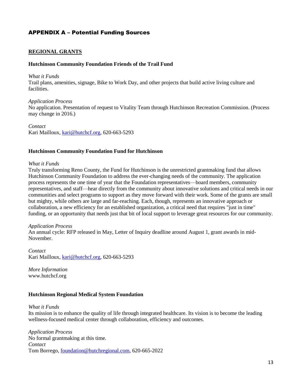## APPENDIX A – Potential Funding Sources

#### **REGIONAL GRANTS**

#### **Hutchinson Community Foundation Friends of the Trail Fund**

#### *What it Funds*

Trail plans, amenities, signage, Bike to Work Day, and other projects that build active living culture and facilities.

*Application Process* No application. Presentation of request to Vitality Team through Hutchinson Recreation Commission. (Process may change in 2016.)

*Contact* Kari Mailloux[, kari@hutchcf.org,](mailto:kari@hutchcf.org) 620-663-5293

#### **Hutchinson Community Foundation Fund for Hutchinson**

#### *What it Funds*

Truly transforming Reno County, the Fund for Hutchinson is the unrestricted grantmaking fund that allows Hutchinson Community Foundation to address the ever-changing needs of the community. The application process represents the one time of year that the Foundation representatives—board members, community representatives, and staff—hear directly from the community about innovative solutions and critical needs in our communities and select programs to support as they move forward with their work. Some of the grants are small but mighty, while others are large and far-reaching. Each, though, represents an innovative approach or collaboration, a new efficiency for an established organization, a critical need that requires "just in time" funding, or an opportunity that needs just that bit of local support to leverage great resources for our community.

#### *Application Process*

An annual cycle: RFP released in May, Letter of Inquiry deadline around August 1, grant awards in mid-November.

*Contact* Kari Mailloux[, kari@hutchcf.org,](mailto:kari@hutchcf.org) 620-663-5293

*More Information* www.hutchcf.org

#### **Hutchinson Regional Medical System Foundation**

#### *What it Funds*

Its mission is to enhance the quality of life through integrated healthcare. Its vision is to become the leading wellness-focused medical center through collaboration, efficiency and outcomes.

*Application Process* No formal grantmaking at this time. *Contact* Tom Borrego, [foundation@hutchregional.com,](mailto:foundation@hutchregional.com) 620-665-2022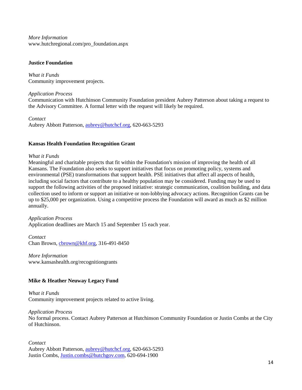*More Information* www.hutchregional.com/pro\_foundation.aspx

### **Justice Foundation**

*What it Funds* Community improvement projects.

## *Application Process*

Communication with Hutchinson Community Foundation president Aubrey Patterson about taking a request to the Advisory Committee. A formal letter with the request will likely be required.

### *Contact*

Aubrey Abbott Patterson, [aubrey@hutchcf.org,](mailto:aubrey@hutchcf.org) 620-663-5293

## **Kansas Health Foundation Recognition Grant**

### *What it Funds*

Meaningful and charitable projects that fit within the Foundation's mission of improving the health of all Kansans. The Foundation also seeks to support initiatives that focus on promoting policy, systems and environmental (PSE) transformations that support health. PSE initiatives that affect all aspects of health, including social factors that contribute to a healthy population may be considered. Funding may be used to support the following activities of the proposed initiative: strategic communication, coalition building, and data collection used to inform or support an initiative or non-lobbying advocacy actions. Recognition Grants can be up to \$25,000 per organization. Using a competitive process the Foundation will award as much as \$2 million annually.

*Application Process* Application deadlines are March 15 and September 15 each year.

*Contact* Chan Brown, chrown@khf.org, 316-491-8450

*More Information* www.kansashealth.org/recognitiongrants

## **Mike & Heather Neuway Legacy Fund**

*What it Funds* Community improvement projects related to active living.

*Application Process*

No formal process. Contact Aubrey Patterson at Hutchinson Community Foundation or Justin Combs at the City of Hutchinson.

*Contact* Aubrey Abbott Patterson, [aubrey@hutchcf.org,](mailto:aubrey@hutchcf.org) 620-663-5293 Justin Combs, [Justin.combs@hutchgov.com,](mailto:Justin.combs@hutchgov.com) 620-694-1900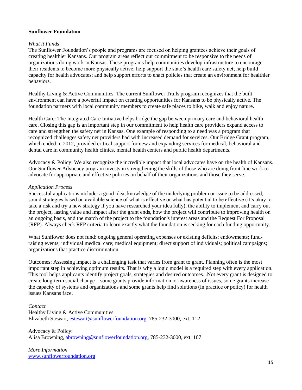### **Sunflower Foundation**

#### *What it Funds*

The Sunflower Foundation's people and programs are focused on helping grantees achieve their goals of creating healthier Kansans. Our program areas reflect our commitment to be responsive to the needs of organizations doing work in Kansas. These programs help communities develop infrastructure to encourage their residents to become more physically active; help support the state's health care safety net; help build capacity for health advocates; and help support efforts to enact policies that create an environment for healthier behaviors.

Healthy Living & Active Communities: The current Sunflower Trails program recognizes that the built environment can have a powerful impact on creating opportunities for Kansans to be physically active. The foundation partners with local community members to create safe places to bike, walk and enjoy nature.

Health Care: The Integrated Care Initiative helps bridge the gap between primary care and behavioral health care. Closing this gap is an important step in our commitment to help health care providers expand access to care and strengthen the safety net in Kansas. One example of responding to a need was a program that recognized challenges safety net providers had with increased demand for services. Our Bridge Grant program, which ended in 2012, provided critical support for new and expanding services for medical, behavioral and dental care in community health clinics, mental health centers and public health departments.

Advocacy & Policy: We also recognize the incredible impact that local advocates have on the health of Kansans. Our Sunflower Advocacy program invests in strengthening the skills of those who are doing front-line work to advocate for appropriate and effective policies on behalf of their organizations and those they serve.

#### *Application Process*

Successful applications include: a good idea, knowledge of the underlying problem or issue to be addressed, sound strategies based on available science of what is effective or what has potential to be effective (it's okay to take a risk and try a new strategy if you have researched your idea fully), the ability to implement and carry out the project, lasting value and impact after the grant ends, how the project will contribute to improving health on an ongoing basis, and the match of the project to the foundation's interest areas and the Request For Proposal (RFP). Always check RFP criteria to learn exactly what the foundation is seeking for each funding opportunity.

What Sunflower does not fund: ongoing general operating expenses or existing deficits; endowments; fundraising events; individual medical care; medical equipment; direct support of individuals; political campaigns; organizations that practice discrimination.

Outcomes: Assessing impact is a challenging task that varies from grant to grant. Planning often is the most important step in achieving optimum results. That is why a logic model is a required step with every application. This tool helps applicants identify project goals, strategies and desired outcomes. .Not every grant is designed to create long-term social change—some grants provide information or awareness of issues, some grants increase the capacity of systems and organizations and some grants help find solutions (in practice or policy) for health issues Kansans face.

### *Contact* Healthy Living & Active Communities: Elizabeth Stewart, [estewart@sunflowerfoundation.org,](mailto:estewart@sunflowerfoundation.org) 785-232-3000, ext. 112

Advocacy & Policy: Alisa Browning, [abrowning@sunflowerfoundation.org,](mailto:abrowning@sunflowerfoundation.org) 785-232-3000, ext. 107

*More Information* [www.sunflowerfoundation.org](http://www.sunflowerfoundation.org/)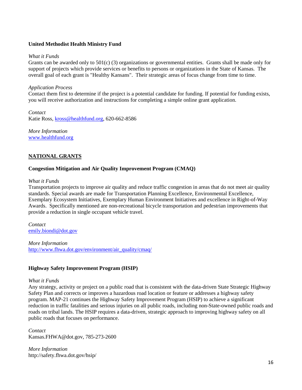## **United Methodist Health Ministry Fund**

### *What it Funds*

Grants can be awarded only to 501(c) (3) organizations or governmental entities. Grants shall be made only for support of projects which provide services or benefits to persons or organizations in the State of Kansas. The overall goal of each grant is "Healthy Kansans". Their strategic areas of focus change from time to time.

### *Application Process*

Contact them first to determine if the project is a potential candidate for funding. If potential for funding exists, you will receive authorization and instructions for completing a simple online grant application.

*Contact* Katie Ross, [kross@healthfund.org,](mailto:kross@healthfund.org) 620-662-8586

*More Information* [www.healthfund.org](http://www.healthfund.org/)

## **NATIONAL GRANTS**

## **Congestion Mitigation and Air Quality Improvement Program (CMAQ)**

#### *What it Funds*

Transportation projects to improve air quality and reduce traffic congestion in areas that do not meet air quality standards. Special awards are made for Transportation Planning Excellence, Environmental Excellence, Exemplary Ecosystem Initiatives, Exemplary Human Environment Initiatives and excellence in Right-of-Way Awards. Specifically mentioned are non-recreational bicycle transportation and pedestrian improvements that provide a reduction in single occupant vehicle travel.

*Contact* [emily.biondi@dot.gov](mailto:emily.biondi@dot.gov)

*More Information* [http://www.fhwa.dot.gov/environment/air\\_quality/cmaq/](http://www.fhwa.dot.gov/environment/air_quality/cmaq/)

### **Highway Safety Improvement Program (HSIP)**

### *What it Funds*

Any strategy, activity or project on a public road that is consistent with the data-driven State Strategic Highway Safety Plan and corrects or improves a hazardous road location or feature or addresses a highway safety program. MAP-21 continues the Highway Safety Improvement Program (HSIP) to achieve a significant reduction in traffic fatalities and serious injuries on all public roads, including non-State-owned public roads and roads on tribal lands. The HSIP requires a data-driven, strategic approach to improving highway safety on all public roads that focuses on performance.

*Contact* Kansas.FHWA@dot.gov, 785-273-2600

*More Information* http://safety.fhwa.dot.gov/hsip/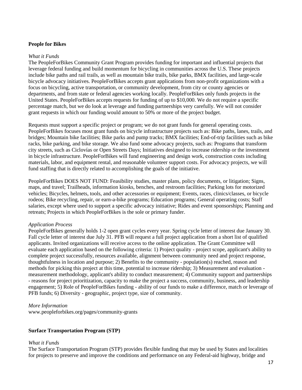#### **People for Bikes**

#### *What it Funds*

The PeopleForBikes Community Grant Program provides funding for important and influential projects that leverage federal funding and build momentum for bicycling in communities across the U.S. These projects include bike paths and rail trails, as well as mountain bike trails, bike parks, BMX facilities, and large-scale bicycle advocacy initiatives. PeopleForBikes accepts grant applications from non-profit organizations with a focus on bicycling, active transportation, or community development, from city or county agencies or departments, and from state or federal agencies working locally. PeopleForBikes only funds projects in the United States. PeopleForBikes accepts requests for funding of up to \$10,000. We do not require a specific percentage match, but we do look at leverage and funding partnerships very carefully. We will not consider grant requests in which our funding would amount to 50% or more of the project budget.

Requests must support a specific project or program; we do not grant funds for general operating costs. PeopleForBikes focuses most grant funds on bicycle infrastructure projects such as: Bike paths, lanes, trails, and bridges; Mountain bike facilities; Bike parks and pump tracks; BMX facilities; End-of-trip facilities such as bike racks, bike parking, and bike storage. We also fund some advocacy projects, such as: Programs that transform city streets, such as Ciclovías or Open Streets Days; Initiatives designed to increase ridership or the investment in bicycle infrastructure. PeopleForBikes will fund engineering and design work, construction costs including materials, labor, and equipment rental, and reasonable volunteer support costs. For advocacy projects, we will fund staffing that is directly related to accomplishing the goals of the initiative.

PeopleForBikes DOES NOT FUND: Feasibility studies, master plans, policy documents, or litigation; Signs, maps, and travel; Trailheads, information kiosks, benches, and restroom facilities; Parking lots for motorized vehicles; Bicycles, helmets, tools, and other accessories or equipment; Events, races, clinics/classes, or bicycle rodeos; Bike recycling, repair, or earn-a-bike programs; Education programs; General operating costs; Staff salaries, except where used to support a specific advocacy initiative; Rides and event sponsorships; Planning and retreats; Projects in which PeopleForBikes is the sole or primary funder.

### *Application Process*

PeopleForBikes generally holds 1-2 open grant cycles every year. Spring cycle letter of interest due January 30. Fall cycle letter of interest due July 31. PFB will request a full project application from a short list of qualified applicants. Invited organizations will receive access to the online application. The Grant Committee will evaluate each application based on the following criteria: 1) Project quality - project scope, applicant's ability to complete project successfully, resources available, alignment between community need and project response, thoughtfulness in location and purpose; 2) Benefits to the community - population(s) reached, reason and methods for picking this project at this time, potential to increase ridership; 3) Measurement and evaluation measurement methodology, applicant's ability to conduct measurement; 4) Community support and partnerships - reasons for project prioritization, capacity to make the project a success, community, business, and leadership engagement; 5) Role of PeopleForBikes funding - ability of our funds to make a difference, match or leverage of PFB funds; 6) Diversity - geographic, project type, size of community.

#### *More Information*

www.peopleforbikes.org/pages/community-grants

### **Surface Transportation Program (STP)**

#### *What it Funds*

The Surface Transportation Program (STP) provides flexible funding that may be used by States and localities for projects to preserve and improve the conditions and performance on any Federal-aid highway, bridge and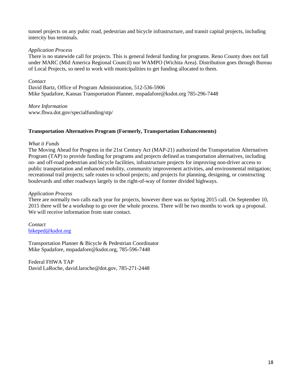tunnel projects on any pubic road, pedestrian and bicycle infrastructure, and transit capital projects, including intercity bus terminals.

## *Application Process*

There is no statewide call for projects. This is general federal funding for programs. Reno County does not fall under MARC (Mid America Regional Council) nor WAMPO (Wichita Area). Distribution goes through Bureau of Local Projects, so need to work with municipalities to get funding allocated to them.

## *Contact*

David Bartz, Office of Program Administration, 512-536-5906 Mike Spadafore, Kansas Transportation Planner, mspadafore@ksdot.org 785-296-7448

*More Information* www.fhwa.dot.gov/specialfunding/stp/

## **Transportation Alternatives Program (Formerly, Transportation Enhancements)**

## *What it Funds*

The Moving Ahead for Progress in the 21st Century Act (MAP-21) authorized the Transportation Alternatives Program (TAP) to provide funding for programs and projects defined as transportation alternatives, including on- and off-road pedestrian and bicycle facilities, infrastructure projects for improving non-driver access to public transportation and enhanced mobility, community improvement activities, and environmental mitigation; recreational trail projects; safe routes to school projects; and projects for planning, designing, or constructing boulevards and other roadways largely in the right-of-way of former divided highways.

## *Application Process*

There are normally two calls each year for projects, however there was no Spring 2015 call. On September 10, 2015 there will be a workshop to go over the whole process. There will be two months to work up a proposal. We will receive information from state contact.

*Contact* [bikeped@ksdot.org](mailto:bikeped@ksdot.org)

Transportation Planner & Bicycle & Pedestrian Coordinator Mike Spadafore, mspadafore@ksdot.org, 785-596-7448

Federal FHWA TAP David LaRoche, david.laroche@dot.gov, 785-271-2448